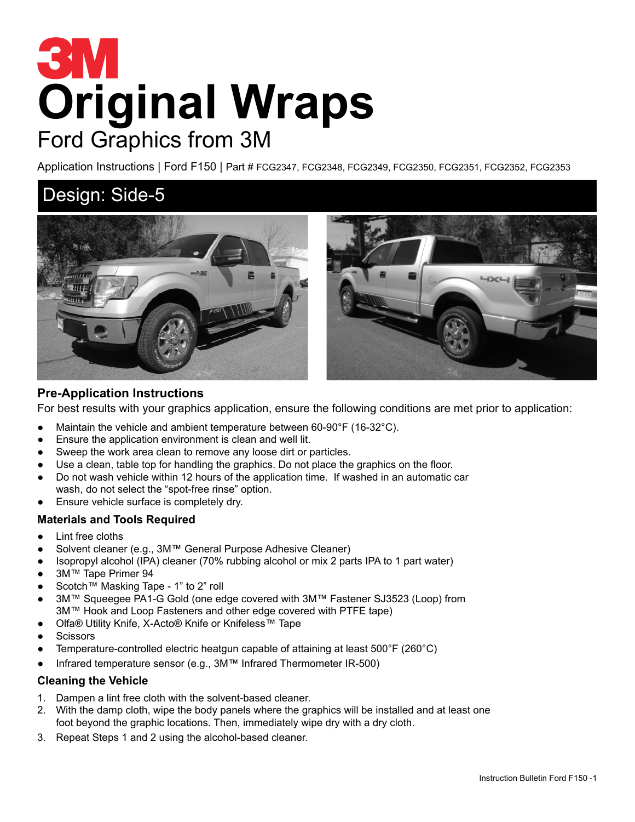# **Original Wraps** Ford Graphics from 3M

Application Instructions | Ford F150 | Part # FCG2347, FCG2348, FCG2349, FCG2350, FCG2351, FCG2352, FCG2353

### Design: Side-5



#### **Pre-Application Instructions**

For best results with your graphics application, ensure the following conditions are met prior to application:

- Maintain the vehicle and ambient temperature between 60-90°F (16-32°C).
- Ensure the application environment is clean and well lit.
- Sweep the work area clean to remove any loose dirt or particles.
- Use a clean, table top for handling the graphics. Do not place the graphics on the floor.
- Do not wash vehicle within 12 hours of the application time. If washed in an automatic car wash, do not select the "spot-free rinse" option.
- Ensure vehicle surface is completely dry.

#### **Materials and Tools Required**

- Lint free cloths
- Solvent cleaner (e.g., 3M™ General Purpose Adhesive Cleaner)
- Isopropyl alcohol (IPA) cleaner (70% rubbing alcohol or mix 2 parts IPA to 1 part water)
- 3M™ Tape Primer 94
- Scotch™ Masking Tape 1" to 2" roll
- 3M™ Squeegee PA1-G Gold (one edge covered with 3M™ Fastener SJ3523 (Loop) from 3M™ Hook and Loop Fasteners and other edge covered with PTFE tape)
- Olfa® Utility Knife, X-Acto® Knife or Knifeless™ Tape
- **Scissors**
- Temperature-controlled electric heatgun capable of attaining at least  $500^{\circ}F(260^{\circ}C)$
- Infrared temperature sensor (e.g., 3M™ Infrared Thermometer IR-500)

#### **Cleaning the Vehicle**

- 1. Dampen a lint free cloth with the solvent-based cleaner.
- 2. With the damp cloth, wipe the body panels where the graphics will be installed and at least one foot beyond the graphic locations. Then, immediately wipe dry with a dry cloth.
- 3. Repeat Steps 1 and 2 using the alcohol-based cleaner.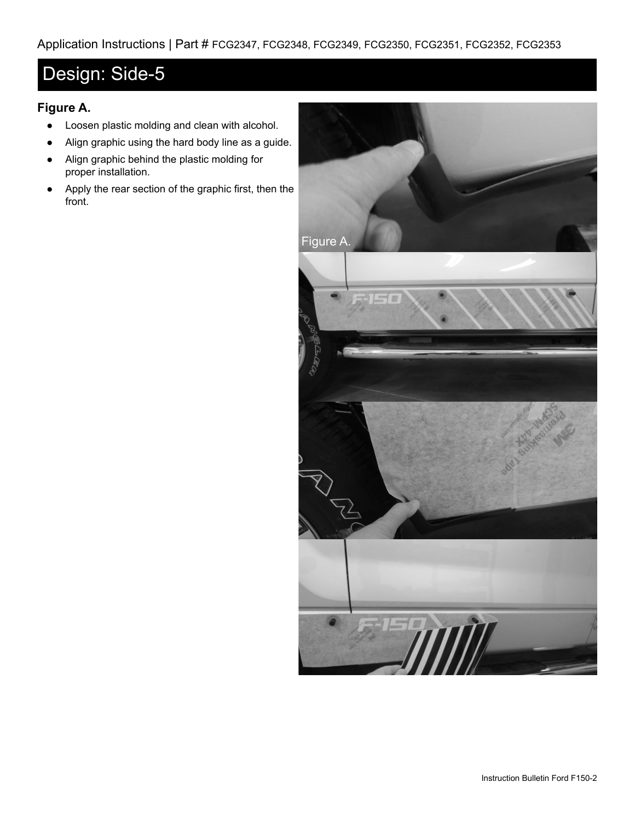## Design: Side-5

#### **Figure A.**

- Loosen plastic molding and clean with alcohol.
- Align graphic using the hard body line as a guide.
- Align graphic behind the plastic molding for proper installation.
- Apply the rear section of the graphic first, then the front.

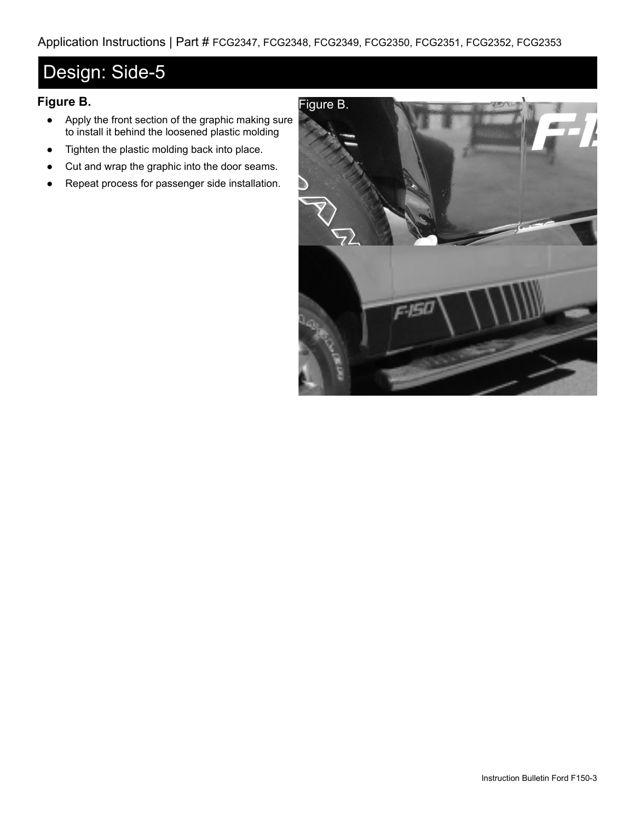## Design: Side-5

#### **Figure B.**

- Apply the front section of the graphic making sure to install it behind the loosened plastic molding
- Tighten the plastic molding back into place.
- Cut and wrap the graphic into the door seams.
- Repeat process for passenger side installation.